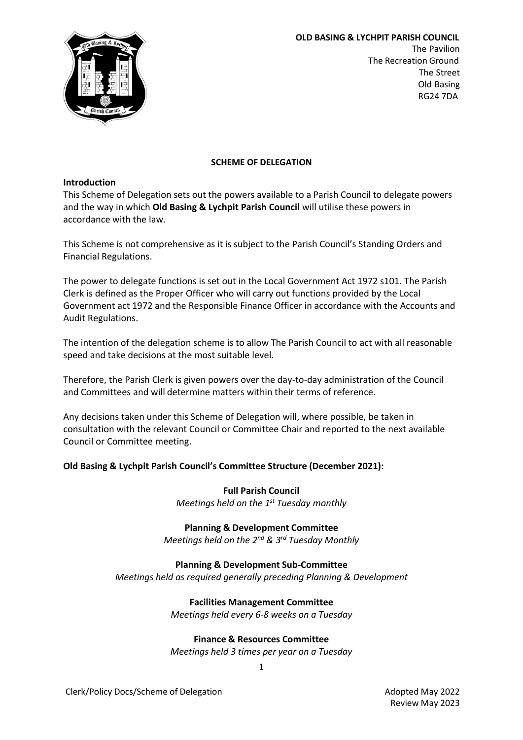

**OLD BASING & LYCHPIT PARISH COUNCIL** The Pavilion The Recreation Ground The Street Old Basing RG24 7DA

## **SCHEME OF DELEGATION**

#### **Introduction**

This Scheme of Delegation sets out the powers available to a Parish Council to delegate powers and the way in which **Old Basing & Lychpit Parish Council** will utilise these powers in accordance with the law.

This Scheme is not comprehensive as it is subject to the Parish Council's Standing Orders and Financial Regulations.

The power to delegate functions is set out in the Local Government Act 1972 s101. The Parish Clerk is defined as the Proper Officer who will carry out functions provided by the Local Government act 1972 and the Responsible Finance Officer in accordance with the Accounts and Audit Regulations.

The intention of the delegation scheme is to allow The Parish Council to act with all reasonable speed and take decisions at the most suitable level.

Therefore, the Parish Clerk is given powers over the day-to-day administration of the Council and Committees and will determine matters within their terms of reference.

Any decisions taken under this Scheme of Delegation will, where possible, be taken in consultation with the relevant Council or Committee Chair and reported to the next available Council or Committee meeting.

## **Old Basing & Lychpit Parish Council's Committee Structure (December 2021):**

**Full Parish Council**

*Meetings held on the 1 st Tuesday monthly*

#### **Planning & Development Committee**

*Meetings held on the 2nd & 3rd Tuesday Monthly*

## **Planning & Development Sub-Committee**

*Meetings held as required generally preceding Planning & Development*

# **Facilities Management Committee**

*Meetings held every 6-8 weeks on a Tuesday*

## **Finance & Resources Committee**

*Meetings held 3 times per year on a Tuesday*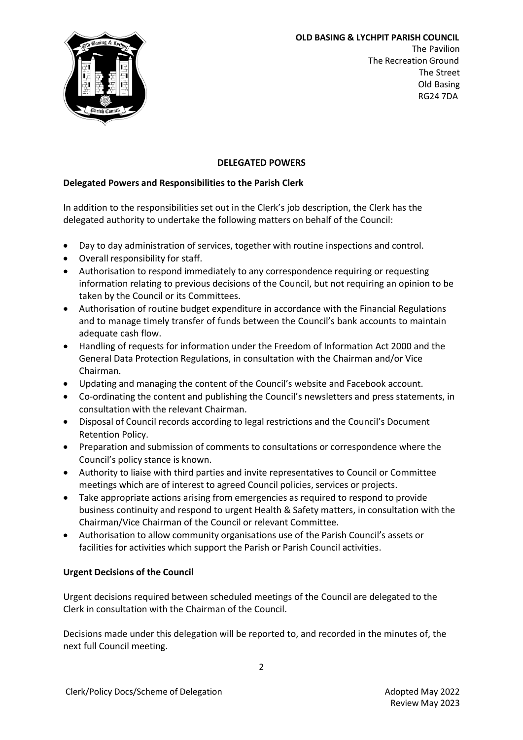

**OLD BASING & LYCHPIT PARISH COUNCIL** The Pavilion The Recreation Ground The Street Old Basing RG24 7DA

# **DELEGATED POWERS**

# **Delegated Powers and Responsibilities to the Parish Clerk**

In addition to the responsibilities set out in the Clerk's job description, the Clerk has the delegated authority to undertake the following matters on behalf of the Council:

- Day to day administration of services, together with routine inspections and control.
- Overall responsibility for staff.
- Authorisation to respond immediately to any correspondence requiring or requesting information relating to previous decisions of the Council, but not requiring an opinion to be taken by the Council or its Committees.
- Authorisation of routine budget expenditure in accordance with the Financial Regulations and to manage timely transfer of funds between the Council's bank accounts to maintain adequate cash flow.
- Handling of requests for information under the Freedom of Information Act 2000 and the General Data Protection Regulations, in consultation with the Chairman and/or Vice Chairman.
- Updating and managing the content of the Council's website and Facebook account.
- Co-ordinating the content and publishing the Council's newsletters and press statements, in consultation with the relevant Chairman.
- Disposal of Council records according to legal restrictions and the Council's Document Retention Policy.
- Preparation and submission of comments to consultations or correspondence where the Council's policy stance is known.
- Authority to liaise with third parties and invite representatives to Council or Committee meetings which are of interest to agreed Council policies, services or projects.
- Take appropriate actions arising from emergencies as required to respond to provide business continuity and respond to urgent Health & Safety matters, in consultation with the Chairman/Vice Chairman of the Council or relevant Committee.
- Authorisation to allow community organisations use of the Parish Council's assets or facilities for activities which support the Parish or Parish Council activities.

## **Urgent Decisions of the Council**

Urgent decisions required between scheduled meetings of the Council are delegated to the Clerk in consultation with the Chairman of the Council.

Decisions made under this delegation will be reported to, and recorded in the minutes of, the next full Council meeting.